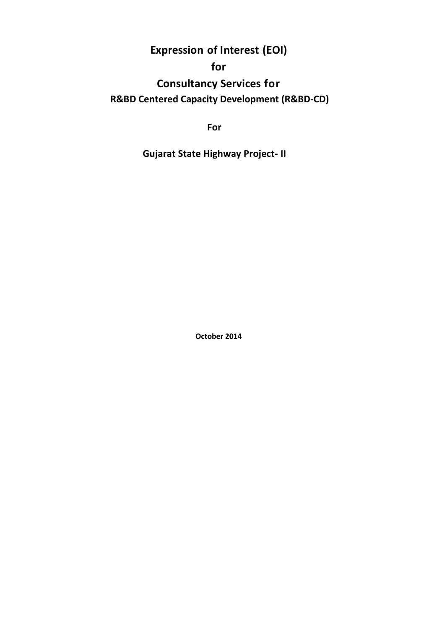**Expression of Interest (EOI)**

# **for**

**Consultancy Services for R&BD Centered Capacity Development (R&BD-CD)**

**For**

**Gujarat State Highway Project- II**

**October 2014**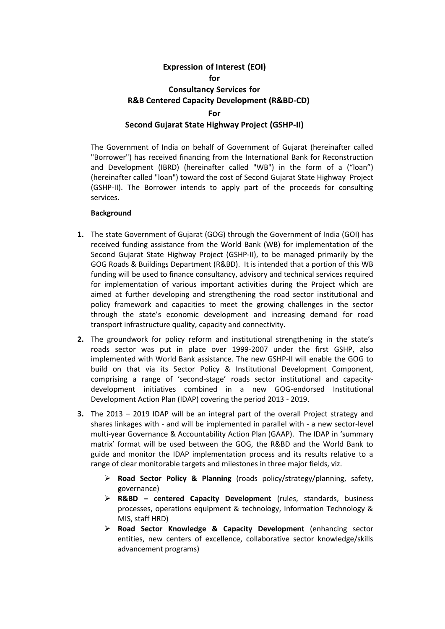## **Expression of Interest (EOI) for Consultancy Services for R&B Centered Capacity Development (R&BD-CD) For Second Gujarat State Highway Project (GSHP-II)**

The Government of India on behalf of Government of Gujarat (hereinafter called "Borrower") has received financing from the International Bank for Reconstruction and Development (IBRD) (hereinafter called "WB") in the form of a ("loan") (hereinafter called "loan") toward the cost of Second Gujarat State Highway Project (GSHP-II). The Borrower intends to apply part of the proceeds for consulting services.

#### **Background**

- **1.** The state Government of Gujarat (GOG) through the Government of India (GOI) has received funding assistance from the World Bank (WB) for implementation of the Second Gujarat State Highway Project (GSHP-II), to be managed primarily by the GOG Roads & Buildings Department (R&BD). It is intended that a portion of this WB funding will be used to finance consultancy, advisory and technical services required for implementation of various important activities during the Project which are aimed at further developing and strengthening the road sector institutional and policy framework and capacities to meet the growing challenges in the sector through the state's economic development and increasing demand for road transport infrastructure quality, capacity and connectivity.
- **2.** The groundwork for policy reform and institutional strengthening in the state's roads sector was put in place over 1999-2007 under the first GSHP, also implemented with World Bank assistance. The new GSHP-II will enable the GOG to build on that via its Sector Policy & Institutional Development Component, comprising a range of 'second-stage' roads sector institutional and capacitydevelopment initiatives combined in a new GOG-endorsed Institutional Development Action Plan (IDAP) covering the period 2013 - 2019.
- **3.** The 2013 2019 IDAP will be an integral part of the overall Project strategy and shares linkages with - and will be implemented in parallel with - a new sector-level multi-year Governance & Accountability Action Plan (GAAP). The IDAP in 'summary matrix' format will be used between the GOG, the R&BD and the World Bank to guide and monitor the IDAP implementation process and its results relative to a range of clear monitorable targets and milestones in three major fields, viz.
	- **Road Sector Policy & Planning** (roads policy/strategy/planning, safety, governance)
	- **R&BD – centered Capacity Development** (rules, standards, business processes, operations equipment & technology, Information Technology & MIS, staff HRD)
	- **Road Sector Knowledge & Capacity Development** (enhancing sector entities, new centers of excellence, collaborative sector knowledge/skills advancement programs)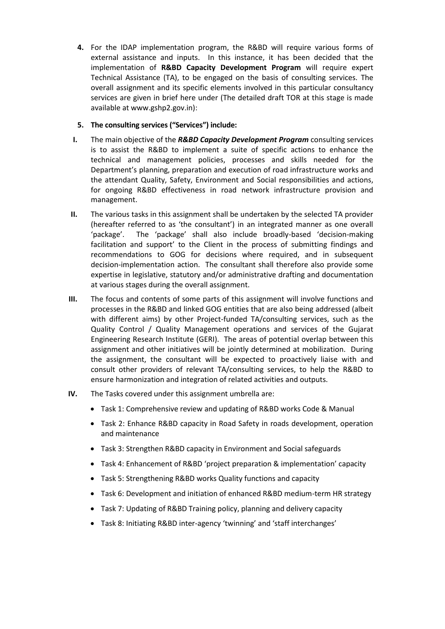**4.** For the IDAP implementation program, the R&BD will require various forms of external assistance and inputs. In this instance, it has been decided that the implementation of **R&BD Capacity Development Program** will require expert Technical Assistance (TA), to be engaged on the basis of consulting services. The overall assignment and its specific elements involved in this particular consultancy services are given in brief here under (The detailed draft TOR at this stage is made available at www.gshp2.gov.in):

### **5. The consulting services ("Services") include:**

- **I.** The main objective of the *R&BD Capacity Development Program* consulting services is to assist the R&BD to implement a suite of specific actions to enhance the technical and management policies, processes and skills needed for the Department's planning, preparation and execution of road infrastructure works and the attendant Quality, Safety, Environment and Social responsibilities and actions, for ongoing R&BD effectiveness in road network infrastructure provision and management.
- **II.** The various tasks in this assignment shall be undertaken by the selected TA provider (hereafter referred to as 'the consultant') in an integrated manner as one overall 'package'. The 'package' shall also include broadly-based 'decision-making facilitation and support' to the Client in the process of submitting findings and recommendations to GOG for decisions where required, and in subsequent decision-implementation action. The consultant shall therefore also provide some expertise in legislative, statutory and/or administrative drafting and documentation at various stages during the overall assignment.
- **III.** The focus and contents of some parts of this assignment will involve functions and processes in the R&BD and linked GOG entities that are also being addressed (albeit with different aims) by other Project-funded TA/consulting services, such as the Quality Control / Quality Management operations and services of the Gujarat Engineering Research Institute (GERI). The areas of potential overlap between this assignment and other initiatives will be jointly determined at mobilization. During the assignment, the consultant will be expected to proactively liaise with and consult other providers of relevant TA/consulting services, to help the R&BD to ensure harmonization and integration of related activities and outputs.
- **IV.** The Tasks covered under this assignment umbrella are:
	- Task 1: Comprehensive review and updating of R&BD works Code & Manual
	- Task 2: Enhance R&BD capacity in Road Safety in roads development, operation and maintenance
	- Task 3: Strengthen R&BD capacity in Environment and Social safeguards
	- Task 4: Enhancement of R&BD 'project preparation & implementation' capacity
	- Task 5: Strengthening R&BD works Quality functions and capacity
	- Task 6: Development and initiation of enhanced R&BD medium-term HR strategy
	- Task 7: Updating of R&BD Training policy, planning and delivery capacity
	- Task 8: Initiating R&BD inter-agency 'twinning' and 'staff interchanges'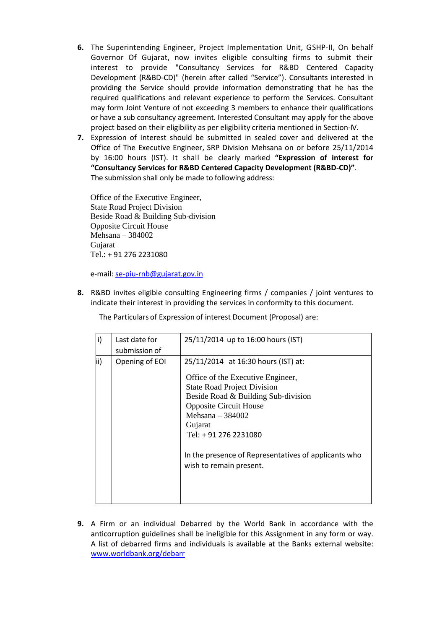- **6.** The Superintending Engineer, Project Implementation Unit, GSHP-II, On behalf Governor Of Gujarat, now invites eligible consulting firms to submit their interest to provide "Consultancy Services for R&BD Centered Capacity Development (R&BD-CD)" (herein after called "Service"). Consultants interested in providing the Service should provide information demonstrating that he has the required qualifications and relevant experience to perform the Services. Consultant may form Joint Venture of not exceeding 3 members to enhance their qualifications or have a sub consultancy agreement. Interested Consultant may apply for the above project based on their eligibility as per eligibility criteria mentioned in Section-IV.
- **7.** Expression of Interest should be submitted in sealed cover and delivered at the Office of The Executive Engineer, SRP Division Mehsana on or before 25/11/2014 by 16:00 hours (IST). It shall be clearly marked **"Expression of interest for "Consultancy Services for R&BD Centered Capacity Development (R&BD-CD)"**. The submission shall only be made to following address:

Office of the Executive Engineer, State Road Project Division Beside Road & Building Sub-division Opposite Circuit House Mehsana – 384002 Gujarat Tel.: + 91 276 2231080

e-mail: [se-piu-rnb@gujarat.gov.in](mailto:se-piu-rnb@gujarat.gov.in)

**8.** R&BD invites eligible consulting Engineering firms / companies / joint ventures to indicate their interest in providing the services in conformity to this document.

The Particulars of Expression of interest Document (Proposal) are:

| i)  | Last date for<br>submission of | 25/11/2014 up to 16:00 hours (IST)                                                                                                                                                                                                                                                                                                 |
|-----|--------------------------------|------------------------------------------------------------------------------------------------------------------------------------------------------------------------------------------------------------------------------------------------------------------------------------------------------------------------------------|
| ii) | Opening of EOI                 | 25/11/2014 at 16:30 hours (IST) at:<br>Office of the Executive Engineer,<br><b>State Road Project Division</b><br>Beside Road & Building Sub-division<br><b>Opposite Circuit House</b><br>Mehsana $-384002$<br>Gujarat<br>Tel: + 91 276 2231080<br>In the presence of Representatives of applicants who<br>wish to remain present. |

**9.** A Firm or an individual Debarred by the World Bank in accordance with the anticorruption guidelines shall be ineligible for this Assignment in any form or way. A list of debarred firms and individuals is available at the Banks external website: [www.worldbank.org/debarr](http://www.worldbank.org/debarr)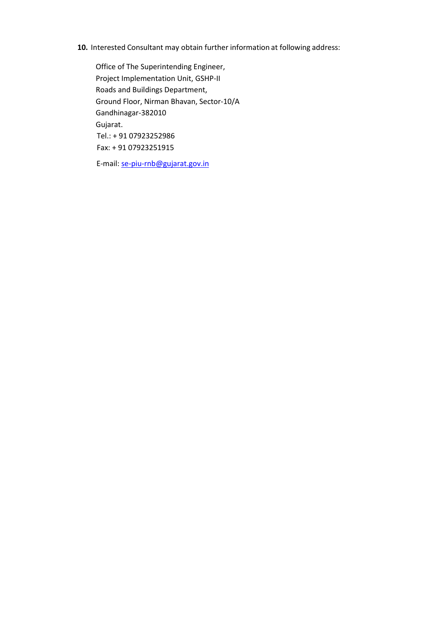### **10.** Interested Consultant may obtain further information at following address:

Office of The Superintending Engineer, Project Implementation Unit, GSHP-II Roads and Buildings Department, Ground Floor, Nirman Bhavan, Sector-10/A Gandhinagar-382010 Gujarat. Tel.: + 91 07923252986 Fax: + 91 07923251915

E-mail: [se-piu-rnb@gujarat.gov.in](mailto:se-piu-rnb@gujarat.gov.in)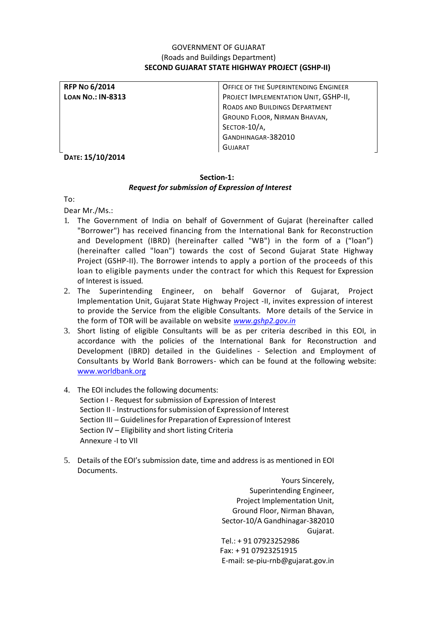### GOVERNMENT OF GUJARAT (Roads and Buildings Department) **SECOND GUJARAT STATE HIGHWAY PROJECT (GSHP-II)**

| <b>RFP No 6/2014</b>     | OFFICE OF THE SUPERINTENDING ENGINEER |
|--------------------------|---------------------------------------|
| <b>LOAN NO.: IN-8313</b> | PROJECT IMPLEMENTATION UNIT, GSHP-II, |
|                          | ROADS AND BUILDINGS DEPARTMENT        |
|                          | GROUND FLOOR, NIRMAN BHAVAN,          |
|                          | SECTOR-10/A,                          |
|                          | GANDHINAGAR-382010                    |
|                          | <b>GUJARAT</b>                        |

**DATE: 15/10/2014**

### **Section-1:** *Request for submission of Expression of Interest*

To:

Dear Mr./Ms.:

- 1. The Government of India on behalf of Government of Gujarat (hereinafter called "Borrower") has received financing from the International Bank for Reconstruction and Development (IBRD) (hereinafter called "WB") in the form of a ("loan") (hereinafter called "loan") towards the cost of Second Gujarat State Highway Project (GSHP-II). The Borrower intends to apply a portion of the proceeds of this loan to eligible payments under the contract for which this Request for Expression of Interest is issued*.*
- 2. The Superintending Engineer, on behalf Governor of Gujarat, Project Implementation Unit, Gujarat State Highway Project -II, invites expression of interest to provide the Service from the eligible Consultants. More details of the Service in the form of TOR will be available on website *[www.gshp2.gov.in](http://www.gshp2.gov.in/)*
- 3. Short listing of eligible Consultants will be as per criteria described in this EOI, in accordance with the policies of the International Bank for Reconstruction and Development (IBRD) detailed in the Guidelines - Selection and Employment of Consultants by World Bank Borrowers- which can be found at the following website: [www.worldbank.org](http://www.worldbank.org/)
- 4. The EOI includes the following documents: Section I - Request for submission of Expression of Interest Section II - Instructions for submission of Expression of Interest Section III – Guidelines for Preparation of Expression of Interest Section IV – Eligibility and short listing Criteria Annexure -I to VII
- 5. Details of the EOI's submission date, time and address is as mentioned in EOI Documents.

Yours Sincerely, Superintending Engineer, Project Implementation Unit, Ground Floor, Nirman Bhavan, Sector-10/A Gandhinagar-382010 Gujarat. Tel.: + 91 07923252986 Fax: + 91 07923251915 E-mail: se-piu-rnb@gujarat.gov.in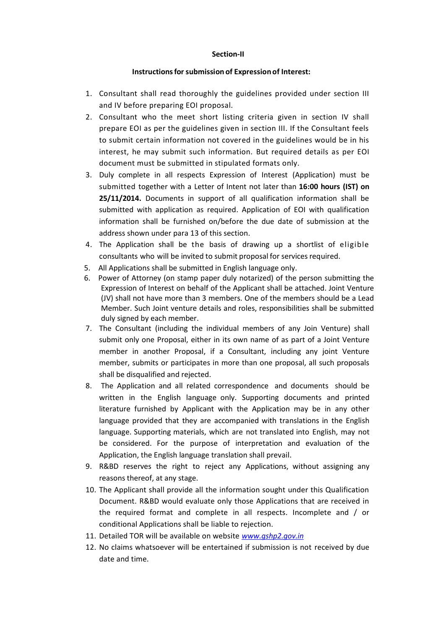#### **Section-II**

#### **Instructionsforsubmission of Expressionof Interest:**

- 1. Consultant shall read thoroughly the guidelines provided under section III and IV before preparing EOI proposal.
- 2. Consultant who the meet short listing criteria given in section IV shall prepare EOI as per the guidelines given in section III. If the Consultant feels to submit certain information not covered in the guidelines would be in his interest, he may submit such information. But required details as per EOI document must be submitted in stipulated formats only.
- 3. Duly complete in all respects Expression of Interest (Application) must be submitted together with a Letter of Intent not later than **16:00 hours (IST) on 25/11/2014.** Documents in support of all qualification information shall be submitted with application as required. Application of EOI with qualification information shall be furnished on/before the due date of submission at the address shown under para 13 of this section.
- 4. The Application shall be the basis of drawing up a shortlist of eligible consultants who will be invited to submit proposal for services required.
- 5. All Applications shall be submitted in English language only.
- 6. Power of Attorney (on stamp paper duly notarized) of the person submitting the Expression of Interest on behalf of the Applicant shall be attached. Joint Venture (JV) shall not have more than 3 members. One of the members should be a Lead Member. Such Joint venture details and roles, responsibilities shall be submitted duly signed by each member.
- 7. The Consultant (including the individual members of any Join Venture) shall submit only one Proposal, either in its own name of as part of a Joint Venture member in another Proposal, if a Consultant, including any joint Venture member, submits or participates in more than one proposal, all such proposals shall be disqualified and rejected.
- 8. The Application and all related correspondence and documents should be written in the English language only. Supporting documents and printed literature furnished by Applicant with the Application may be in any other language provided that they are accompanied with translations in the English language. Supporting materials, which are not translated into English, may not be considered. For the purpose of interpretation and evaluation of the Application, the English language translation shall prevail.
- 9. R&BD reserves the right to reject any Applications, without assigning any reasons thereof, at any stage.
- 10. The Applicant shall provide all the information sought under this Qualification Document. R&BD would evaluate only those Applications that are received in the required format and complete in all respects. Incomplete and / or conditional Applications shall be liable to rejection.
- 11. Detailed TOR will be available on website *[www.gshp2.gov.in](http://www.gshp2.gov.in/)*
- 12. No claims whatsoever will be entertained if submission is not received by due date and time.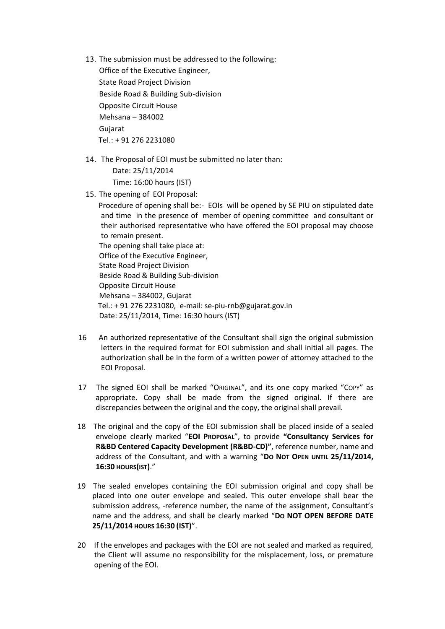13. The submission must be addressed to the following:

Office of the Executive Engineer, State Road Project Division Beside Road & Building Sub-division Opposite Circuit House Mehsana – 384002 Gujarat Tel.: + 91 276 2231080

14. The Proposal of EOI must be submitted no later than:

 Date: 25/11/2014 Time: 16:00 hours (IST)

15. The opening of EOI Proposal:

 Procedure of opening shall be:- EOIs will be opened by SE PIU on stipulated date and time in the presence of member of opening committee and consultant or their authorised representative who have offered the EOI proposal may choose to remain present. The opening shall take place at: Office of the Executive Engineer, State Road Project Division Beside Road & Building Sub-division Opposite Circuit House Mehsana – 384002, Gujarat Tel.: + 91 276 2231080, e-mail: se-piu-rnb@gujarat.gov.in Date: 25/11/2014, Time: 16:30 hours (IST)

- 16 An authorized representative of the Consultant shall sign the original submission letters in the required format for EOI submission and shall initial all pages. The authorization shall be in the form of a written power of attorney attached to the EOI Proposal.
- 17 The signed EOI shall be marked "ORIGINAL", and its one copy marked "COPY" as appropriate. Copy shall be made from the signed original. If there are discrepancies between the original and the copy, the original shall prevail.
- 18 The original and the copy of the EOI submission shall be placed inside of a sealed envelope clearly marked "**EOI PROPOSAL**", to provide **"Consultancy Services for R&BD Centered Capacity Development (R&BD-CD)"**, reference number, name and address of the Consultant, and with a warning "**DO NOT OPEN UNTIL 25/11/2014, 16:30 HOURS(IST)**."
- 19 The sealed envelopes containing the EOI submission original and copy shall be placed into one outer envelope and sealed. This outer envelope shall bear the submission address, -reference number, the name of the assignment, Consultant's name and the address, and shall be clearly marked "**DO NOT OPEN BEFORE DATE 25/11/2014 HOURS 16:30 (IST)**".
- 20 If the envelopes and packages with the EOI are not sealed and marked as required, the Client will assume no responsibility for the misplacement, loss, or premature opening of the EOI.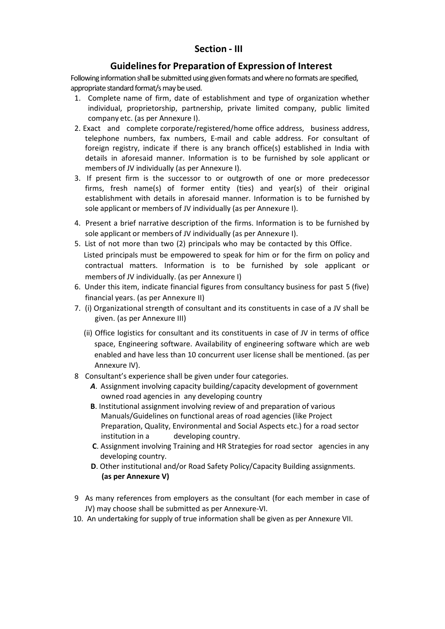## **Section - III**

## **Guidelinesfor Preparation of Expression of Interest**

Following information shall be submitted using given formats and where no formats are specified, appropriate standard format/s may be used.

- 1. Complete name of firm, date of establishment and type of organization whether individual, proprietorship, partnership, private limited company, public limited company etc. (as per Annexure I).
- 2. Exact and complete corporate/registered/home office address, business address, telephone numbers, fax numbers, E-mail and cable address. For consultant of foreign registry, indicate if there is any branch office(s) established in India with details in aforesaid manner. Information is to be furnished by sole applicant or members of JV individually (as per Annexure I).
- 3. If present firm is the successor to or outgrowth of one or more predecessor firms, fresh name(s) of former entity (ties) and year(s) of their original establishment with details in aforesaid manner. Information is to be furnished by sole applicant or members of JV individually (as per Annexure I).
- 4. Present a brief narrative description of the firms. Information is to be furnished by sole applicant or members of JV individually (as per Annexure I).
- 5. List of not more than two (2) principals who may be contacted by this Office. Listed principals must be empowered to speak for him or for the firm on policy and contractual matters. Information is to be furnished by sole applicant or members of JV individually. (as per Annexure I)
- 6. Under this item, indicate financial figures from consultancy business for past 5 (five) financial years. (as per Annexure II)
- 7. (i) Organizational strength of consultant and its constituents in case of a JV shall be given. (as per Annexure III)
	- (ii) Office logistics for consultant and its constituents in case of JV in terms of office space, Engineering software. Availability of engineering software which are web enabled and have less than 10 concurrent user license shall be mentioned. (as per Annexure IV).
- 8 Consultant's experience shall be given under four categories.
	- *A*. Assignment involving capacity building/capacity development of government owned road agencies in any developing country
	- **B**. Institutional assignment involving review of and preparation of various Manuals/Guidelines on functional areas of road agencies (like Project Preparation, Quality, Environmental and Social Aspects etc.) for a road sector institution in a developing country.
	- **C**. Assignment involving Training and HR Strategies for road sector agencies in any developing country.
	- **D**. Other institutional and/or Road Safety Policy/Capacity Building assignments.  **(as per Annexure V)**
- 9 As many references from employers as the consultant (for each member in case of JV) may choose shall be submitted as per Annexure-VI.
- 10. An undertaking for supply of true information shall be given as per Annexure VII.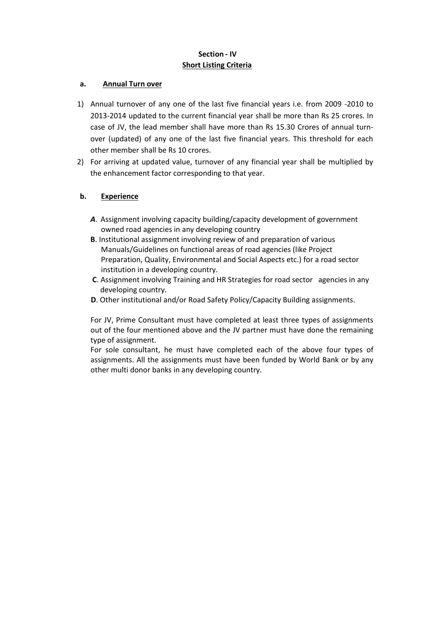## **Section - IV Short Listing Criteria**

#### **a. Annual Turn over**

- 1) Annual turnover of any one of the last five financial years i.e. from 2009 -2010 to 2013-2014 updated to the current financial year shall be more than Rs 25 crores. In case of JV, the lead member shall have more than Rs 15.30 Crores of annual turnover (updated) of any one of the last five financial years. This threshold for each other member shall be Rs 10 crores.
- 2) For arriving at updated value, turnover of any financial year shall be multiplied by the enhancement factor corresponding to that year.

### **b. Experience**

- *A*. Assignment involving capacity building/capacity development of government owned road agencies in any developing country
- **B**. Institutional assignment involving review of and preparation of various Manuals/Guidelines on functional areas of road agencies (like Project Preparation, Quality, Environmental and Social Aspects etc.) for a road sector institution in a developing country.
- **C**. Assignment involving Training and HR Strategies for road sector agencies in any developing country.
- **D**. Other institutional and/or Road Safety Policy/Capacity Building assignments.

For JV, Prime Consultant must have completed at least three types of assignments out of the four mentioned above and the JV partner must have done the remaining type of assignment.

For sole consultant, he must have completed each of the above four types of assignments. All the assignments must have been funded by World Bank or by any other multi donor banks in any developing country.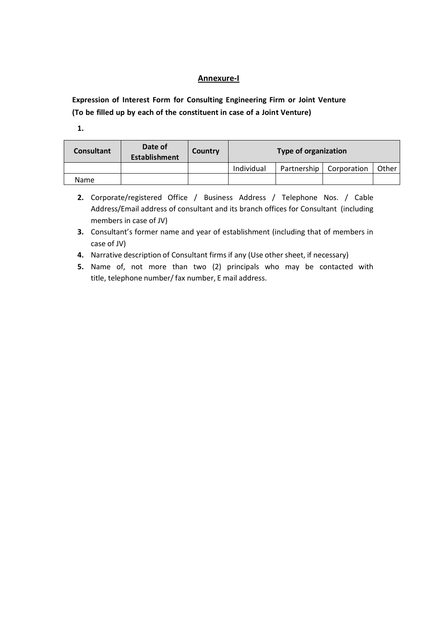### **Annexure-I**

**Expression of Interest Form for Consulting Engineering Firm or Joint Venture (To be filled up by each of the constituent in case of a Joint Venture)**

**1.**

| <b>Consultant</b> | Date of<br><b>Establishment</b> | Country | <b>Type of organization</b> |             |             |       |  |
|-------------------|---------------------------------|---------|-----------------------------|-------------|-------------|-------|--|
|                   |                                 |         | Individual                  | Partnership | Corporation | Other |  |
| <b>Name</b>       |                                 |         |                             |             |             |       |  |

- **2.** Corporate/registered Office / Business Address / Telephone Nos. / Cable Address/Email address of consultant and its branch offices for Consultant (including members in case of JV)
- **3.** Consultant's former name and year of establishment (including that of members in case of JV)
- **4.** Narrative description of Consultant firms if any (Use other sheet, if necessary)
- **5.** Name of, not more than two (2) principals who may be contacted with title, telephone number/fax number, E mail address.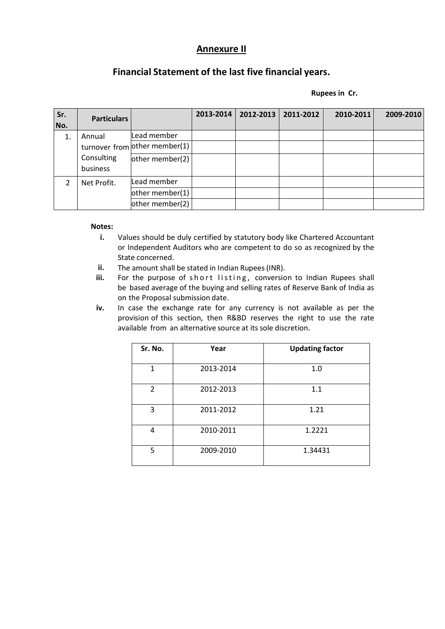# **Annexure II**

# **Financial Statement of the last five financial years.**

 **Rupees in Cr.**

| Sr.<br>No.    | <b>Particulars</b> |                               | 2013-2014 | 2012-2013 | 2011-2012 | 2010-2011 | 2009-2010 |
|---------------|--------------------|-------------------------------|-----------|-----------|-----------|-----------|-----------|
| 1.            | Annual             | Lead member                   |           |           |           |           |           |
|               |                    | turnover from other member(1) |           |           |           |           |           |
|               | Consulting         | other member(2)               |           |           |           |           |           |
|               | business           |                               |           |           |           |           |           |
| $\mathcal{P}$ | Net Profit.        | Lead member                   |           |           |           |           |           |
|               |                    | other member(1)               |           |           |           |           |           |
|               |                    | other member(2)               |           |           |           |           |           |

#### **Notes:**

- **i.** Values should be duly certified by statutory body like Chartered Accountant or Independent Auditors who are competent to do so as recognized by the State concerned.
- ii. The amount shall be stated in Indian Rupees (INR).
- iii. For the purpose of short listing, conversion to Indian Rupees shall be based average of the buying and selling rates of Reserve Bank of India as on the Proposal submission date.
- **iv.** In case the exchange rate for any currency is not available as per the provision of this section, then R&BD reserves the right to use the rate available from an alternative source at its sole discretion.

| Sr. No.       | Year      | <b>Updating factor</b> |
|---------------|-----------|------------------------|
| 1             | 2013-2014 | 1.0                    |
| $\mathcal{P}$ | 2012-2013 | 1.1                    |
| 3             | 2011-2012 | 1.21                   |
| 4             | 2010-2011 | 1.2221                 |
| 5             | 2009-2010 | 1.34431                |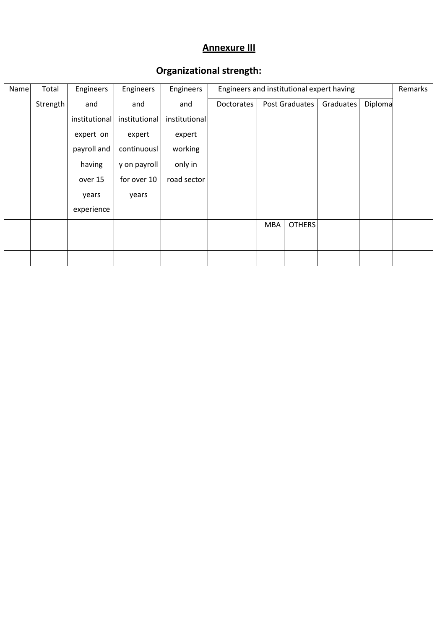# **Annexure III**

| Name | Total    | Engineers     | Engineers     | Engineers     |            | Engineers and institutional expert having |                |           |         |  |
|------|----------|---------------|---------------|---------------|------------|-------------------------------------------|----------------|-----------|---------|--|
|      | Strength | and           | and           | and           | Doctorates |                                           | Post Graduates | Graduates | Diploma |  |
|      |          | institutional | institutional | institutional |            |                                           |                |           |         |  |
|      |          | expert on     | expert        | expert        |            |                                           |                |           |         |  |
|      |          | payroll and   | continuousl   | working       |            |                                           |                |           |         |  |
|      |          | having        | y on payroll  | only in       |            |                                           |                |           |         |  |
|      |          | over 15       | for over 10   | road sector   |            |                                           |                |           |         |  |
|      |          | years         | years         |               |            |                                           |                |           |         |  |
|      |          | experience    |               |               |            |                                           |                |           |         |  |
|      |          |               |               |               |            | <b>MBA</b>                                | <b>OTHERS</b>  |           |         |  |
|      |          |               |               |               |            |                                           |                |           |         |  |
|      |          |               |               |               |            |                                           |                |           |         |  |

# **Organizational strength:**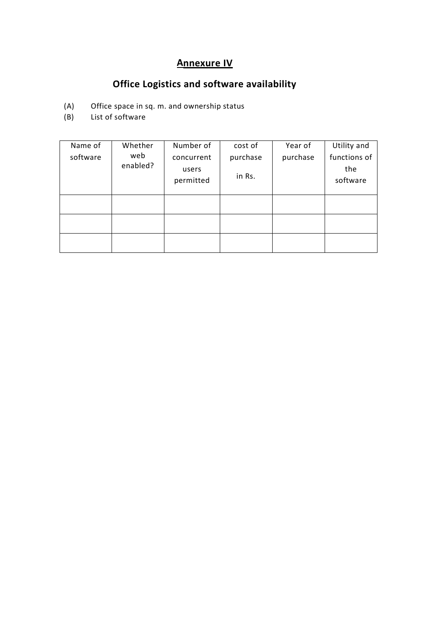# **Annexure IV**

# **Office Logistics and software availability**

- (A) Office space in sq. m. and ownership status<br>(B) List of software
- List of software

| Name of  | Whether  | Number of  | cost of  | Year of  | Utility and  |
|----------|----------|------------|----------|----------|--------------|
| software | web      | concurrent | purchase | purchase | functions of |
|          | enabled? | users      |          |          | the          |
|          |          | permitted  | in Rs.   |          | software     |
|          |          |            |          |          |              |
|          |          |            |          |          |              |
|          |          |            |          |          |              |
|          |          |            |          |          |              |
|          |          |            |          |          |              |
|          |          |            |          |          |              |
|          |          |            |          |          |              |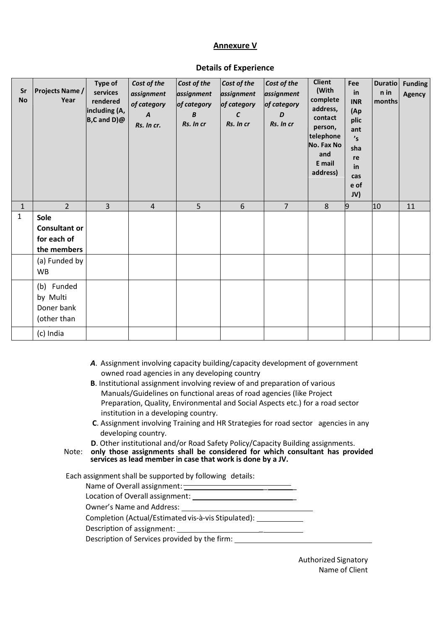## **Annexure V**

| Sr<br><b>No</b> | <b>Projects Name /</b><br>Year                             | Type of<br>services<br>rendered<br>including (A,<br>$B, C$ and $D)$ $@$ | Cost of the<br>assignment<br>of category<br>$\boldsymbol{A}$<br>Rs. In cr. | Cost of the<br>assignment<br>of category<br>$\boldsymbol{B}$<br>Rs. In cr | Cost of the<br>assignment<br>of category<br>$\epsilon$<br>Rs. In cr | Cost of the<br>assignment<br>of category<br>D<br>Rs. In cr | <b>Client</b><br>(With<br>complete<br>address,<br>contact<br>person,<br>telephone<br>No. Fax No<br>and<br>E mail<br>address) | Fee<br>in<br><b>INR</b><br>(Ap<br>plic<br>ant<br>'s<br>sha<br>re<br>in<br>cas<br>e of<br>JV) | <b>Duratio</b><br>n in<br>months | <b>Funding</b><br><b>Agency</b> |
|-----------------|------------------------------------------------------------|-------------------------------------------------------------------------|----------------------------------------------------------------------------|---------------------------------------------------------------------------|---------------------------------------------------------------------|------------------------------------------------------------|------------------------------------------------------------------------------------------------------------------------------|----------------------------------------------------------------------------------------------|----------------------------------|---------------------------------|
| $\mathbf{1}$    | $2^{\circ}$                                                | $\overline{3}$                                                          | $\overline{4}$                                                             | 5                                                                         | 6                                                                   | $\overline{7}$                                             | 8                                                                                                                            | $\overline{9}$                                                                               | 10                               | 11                              |
| $\mathbf{1}$    | Sole<br><b>Consultant or</b><br>for each of<br>the members |                                                                         |                                                                            |                                                                           |                                                                     |                                                            |                                                                                                                              |                                                                                              |                                  |                                 |
|                 | (a) Funded by<br><b>WB</b>                                 |                                                                         |                                                                            |                                                                           |                                                                     |                                                            |                                                                                                                              |                                                                                              |                                  |                                 |
|                 | (b) Funded<br>by Multi<br>Doner bank<br>(other than        |                                                                         |                                                                            |                                                                           |                                                                     |                                                            |                                                                                                                              |                                                                                              |                                  |                                 |
|                 | (c) India                                                  |                                                                         |                                                                            |                                                                           |                                                                     |                                                            |                                                                                                                              |                                                                                              |                                  |                                 |

#### **Details of Experience**

- *A*. Assignment involving capacity building/capacity development of government owned road agencies in any developing country
- **B**. Institutional assignment involving review of and preparation of various Manuals/Guidelines on functional areas of road agencies (like Project Preparation, Quality, Environmental and Social Aspects etc.) for a road sector institution in a developing country.
- **C**. Assignment involving Training and HR Strategies for road sector agencies in any developing country.
- **D**. Other institutional and/or Road Safety Policy/Capacity Building assignments.

Note: **only those assignments shall be considered for which consultant has provided services as lead member in case that work is done by a JV.**

Each assignment shall be supported by following details:

| Name of Overall assignment:                         |  |
|-----------------------------------------------------|--|
| Location of Overall assignment:                     |  |
| Owner's Name and Address:                           |  |
| Completion (Actual/Estimated vis-à-vis Stipulated): |  |
| Description of assignment:                          |  |
| Description of Services provided by the firm:       |  |
|                                                     |  |

Authorized Signatory Name of Client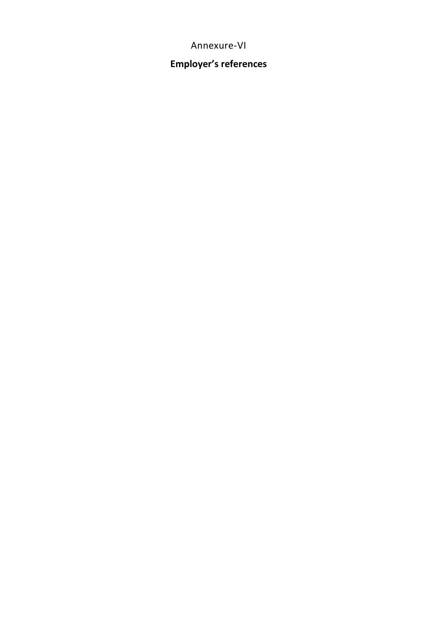# Annexure-VI

# **Employer's references**